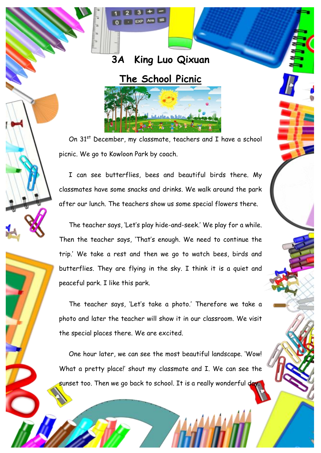

**EXP Ans** 

## **The School Picnic**



On 31<sup>st</sup> December, my classmate, teachers and I have a school picnic. We go to Kowloon Park by coach.

I can see butterflies, bees and beautiful birds there. My classmates have some snacks and drinks. We walk around the park after our lunch. The teachers show us some special flowers there.

The teacher says, 'Let's play hide-and-seek.' We play for a while. Then the teacher says, 'That's enough. We need to continue the trip.' We take a rest and then we go to watch bees, birds and butterflies. They are flying in the sky. I think it is a quiet and peaceful park. I like this park.

The teacher says, 'Let's take a photo.' Therefore we take a photo and later the teacher will show it in our classroom. We visit the special places there. We are excited.

One hour later, we can see the most beautiful landscape. 'Wow! What a pretty place!' shout my classmate and I. We can see the sunset too. Then we go back to school. It is a really wonderful day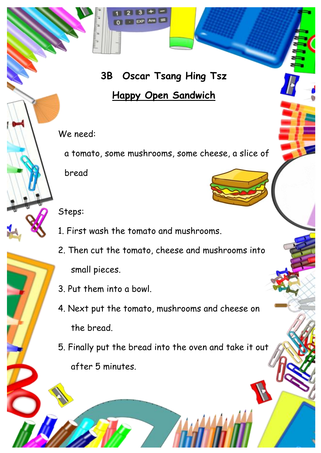## **3B Oscar Tsang Hing Tsz**

 $3 + -$ 

- EXP Ans

## **Happy Open Sandwich**

We need:

a tomato, some mushrooms, some cheese, a slice of bread

Steps:

- 1. First wash the tomato and mushrooms.
- 2. Then cut the tomato, cheese and mushrooms into small pieces.
- 3. Put them into a bowl.
- 4. Next put the tomato, mushrooms and cheese on the bread.
- 5. Finally put the bread into the oven and take it out after 5 minutes.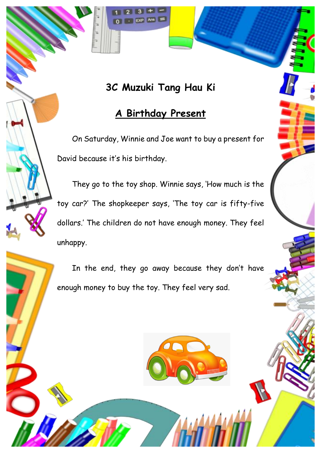### **3C Muzuki Tang Hau Ki**

 $\mathbf{R}$ 

 $EXP$  Ans  $=$ 

#### **A Birthday Present**

 On Saturday, Winnie and Joe want to buy a present for David because it's his birthday.

 They go to the toy shop. Winnie says, 'How much is the toy car?' The shopkeeper says, 'The toy car is fifty-five dollars.' The children do not have enough money. They feel unhappy.

In the end, they go away because they don't have enough money to buy the toy. They feel very sad.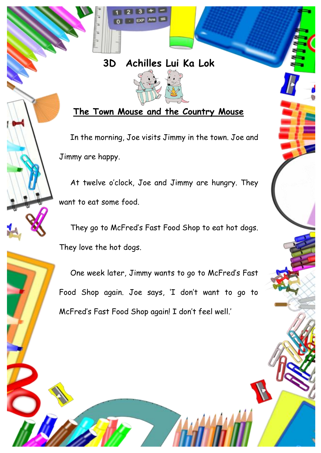# **3D Achilles Lui Ka Lok**

 $3 + EXP$  Ans  $=$ 



**The Town Mouse and the Country Mouse**

 In the morning, Joe visits Jimmy in the town. Joe and Jimmy are happy.

 At twelve o'clock, Joe and Jimmy are hungry. They want to eat some food.

 They go to McFred's Fast Food Shop to eat hot dogs. They love the hot dogs.

 One week later, Jimmy wants to go to McFred's Fast Food Shop again. Joe says, 'I don't want to go to McFred's Fast Food Shop again! I don't feel well.'